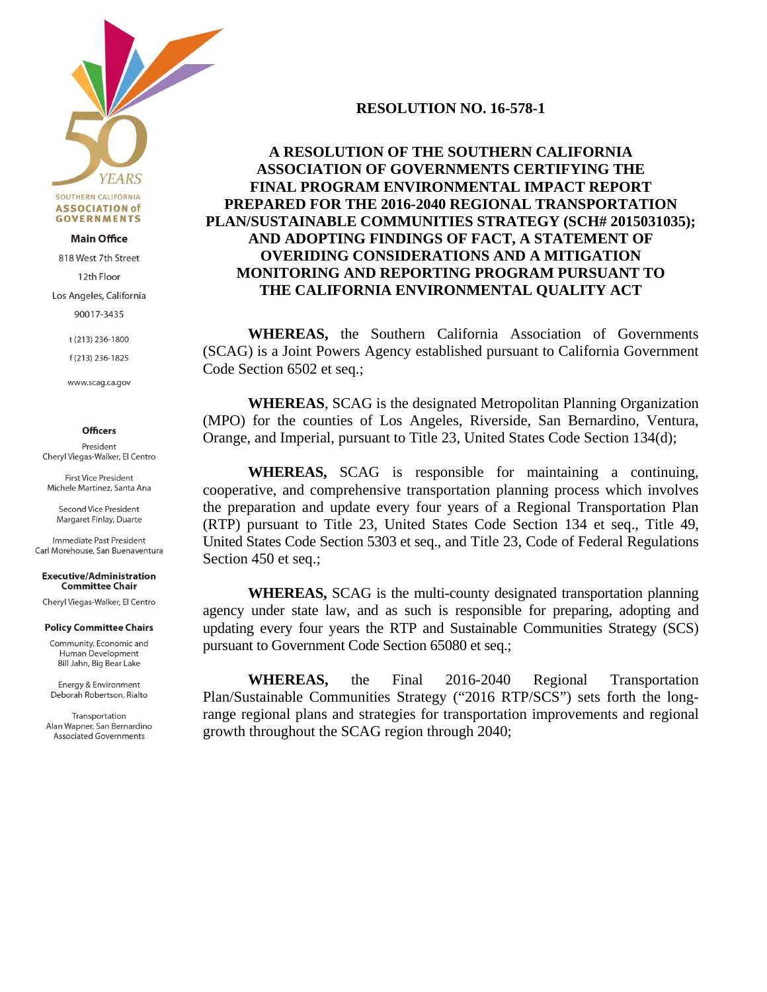

#### **Main Office**

818 West 7th Street

12th Floor

Los Angeles, California

90017-3435

t (213) 236-1800

f (213) 236-1825

www.scag.ca.gov

#### **Officers**

President Cheryl Viegas-Walker, El Centro

**First Vice President** Michele Martinez, Santa Ana

Second Vice President Margaret Finlay, Duarte

Immediate Past President Carl Morehouse, San Buenaventura

**Executive/Administration Committee Chair** 

Cheryl Viegas-Walker, El Centro

#### **Policy Committee Chairs**

Community, Economic and Human Development Bill Jahn, Big Bear Lake

Energy & Environment Deborah Robertson, Rialto

Transportation Alan Wapner, San Bernardino **Associated Governments** 

## **RESOLUTION NO. 16-578-1**

# **A RESOLUTION OF THE SOUTHERN CALIFORNIA ASSOCIATION OF GOVERNMENTS CERTIFYING THE FINAL PROGRAM ENVIRONMENTAL IMPACT REPORT PREPARED FOR THE 2016-2040 REGIONAL TRANSPORTATION PLAN/SUSTAINABLE COMMUNITIES STRATEGY (SCH# 2015031035); AND ADOPTING FINDINGS OF FACT, A STATEMENT OF OVERIDING CONSIDERATIONS AND A MITIGATION MONITORING AND REPORTING PROGRAM PURSUANT TO THE CALIFORNIA ENVIRONMENTAL QUALITY ACT**

**WHEREAS,** the Southern California Association of Governments (SCAG) is a Joint Powers Agency established pursuant to California Government Code Section 6502 et seq.;

**WHEREAS**, SCAG is the designated Metropolitan Planning Organization (MPO) for the counties of Los Angeles, Riverside, San Bernardino, Ventura, Orange, and Imperial, pursuant to Title 23, United States Code Section 134(d);

**WHEREAS,** SCAG is responsible for maintaining a continuing, cooperative, and comprehensive transportation planning process which involves the preparation and update every four years of a Regional Transportation Plan (RTP) pursuant to Title 23, United States Code Section 134 et seq., Title 49, United States Code Section 5303 et seq., and Title 23, Code of Federal Regulations Section 450 et seq.;

 **WHEREAS,** SCAG is the multi-county designated transportation planning agency under state law, and as such is responsible for preparing, adopting and updating every four years the RTP and Sustainable Communities Strategy (SCS) pursuant to Government Code Section 65080 et seq.;

**WHEREAS,** the Final 2016-2040 Regional Transportation Plan/Sustainable Communities Strategy ("2016 RTP/SCS") sets forth the longrange regional plans and strategies for transportation improvements and regional growth throughout the SCAG region through 2040;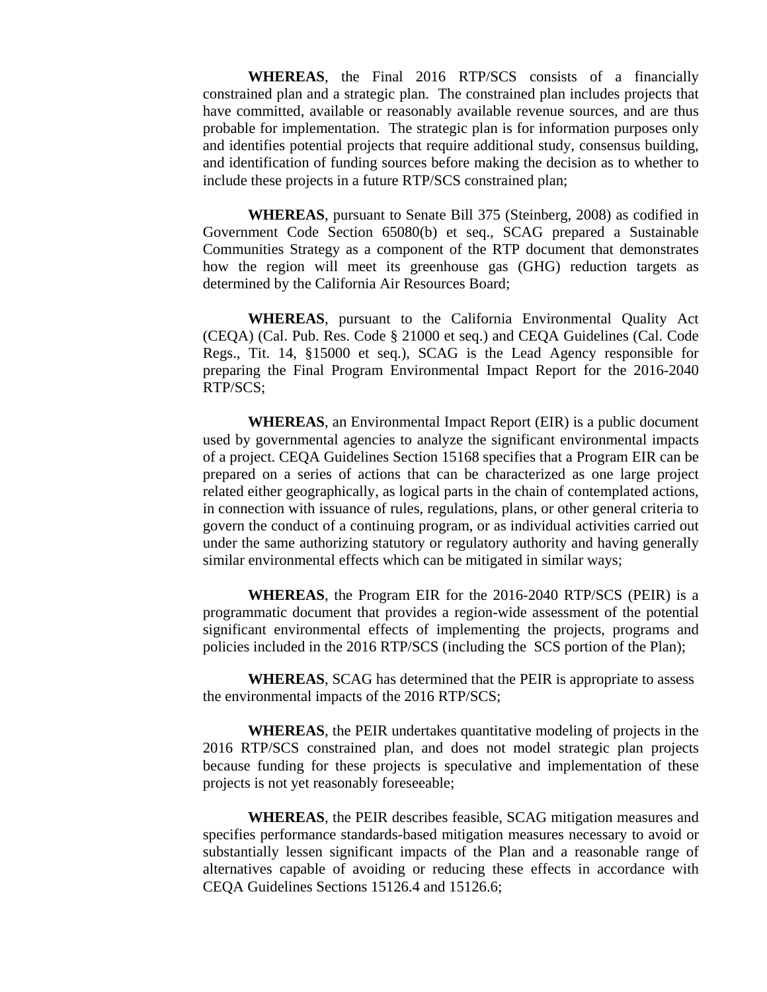**WHEREAS**, the Final 2016 RTP/SCS consists of a financially constrained plan and a strategic plan. The constrained plan includes projects that have committed, available or reasonably available revenue sources, and are thus probable for implementation. The strategic plan is for information purposes only and identifies potential projects that require additional study, consensus building, and identification of funding sources before making the decision as to whether to include these projects in a future RTP/SCS constrained plan;

**WHEREAS**, pursuant to Senate Bill 375 (Steinberg, 2008) as codified in Government Code Section 65080(b) et seq., SCAG prepared a Sustainable Communities Strategy as a component of the RTP document that demonstrates how the region will meet its greenhouse gas (GHG) reduction targets as determined by the California Air Resources Board;

**WHEREAS**, pursuant to the California Environmental Quality Act (CEQA) (Cal. Pub. Res. Code § 21000 et seq.) and CEQA Guidelines (Cal. Code Regs., Tit. 14, §15000 et seq.), SCAG is the Lead Agency responsible for preparing the Final Program Environmental Impact Report for the 2016-2040 RTP/SCS;

**WHEREAS**, an Environmental Impact Report (EIR) is a public document used by governmental agencies to analyze the significant environmental impacts of a project. CEQA Guidelines Section 15168 specifies that a Program EIR can be prepared on a series of actions that can be characterized as one large project related either geographically, as logical parts in the chain of contemplated actions, in connection with issuance of rules, regulations, plans, or other general criteria to govern the conduct of a continuing program, or as individual activities carried out under the same authorizing statutory or regulatory authority and having generally similar environmental effects which can be mitigated in similar ways;

**WHEREAS**, the Program EIR for the 2016-2040 RTP/SCS (PEIR) is a programmatic document that provides a region-wide assessment of the potential significant environmental effects of implementing the projects, programs and policies included in the 2016 RTP/SCS (including the SCS portion of the Plan);

**WHEREAS**, SCAG has determined that the PEIR is appropriate to assess the environmental impacts of the 2016 RTP/SCS;

**WHEREAS**, the PEIR undertakes quantitative modeling of projects in the 2016 RTP/SCS constrained plan, and does not model strategic plan projects because funding for these projects is speculative and implementation of these projects is not yet reasonably foreseeable;

**WHEREAS**, the PEIR describes feasible, SCAG mitigation measures and specifies performance standards-based mitigation measures necessary to avoid or substantially lessen significant impacts of the Plan and a reasonable range of alternatives capable of avoiding or reducing these effects in accordance with CEQA Guidelines Sections 15126.4 and 15126.6;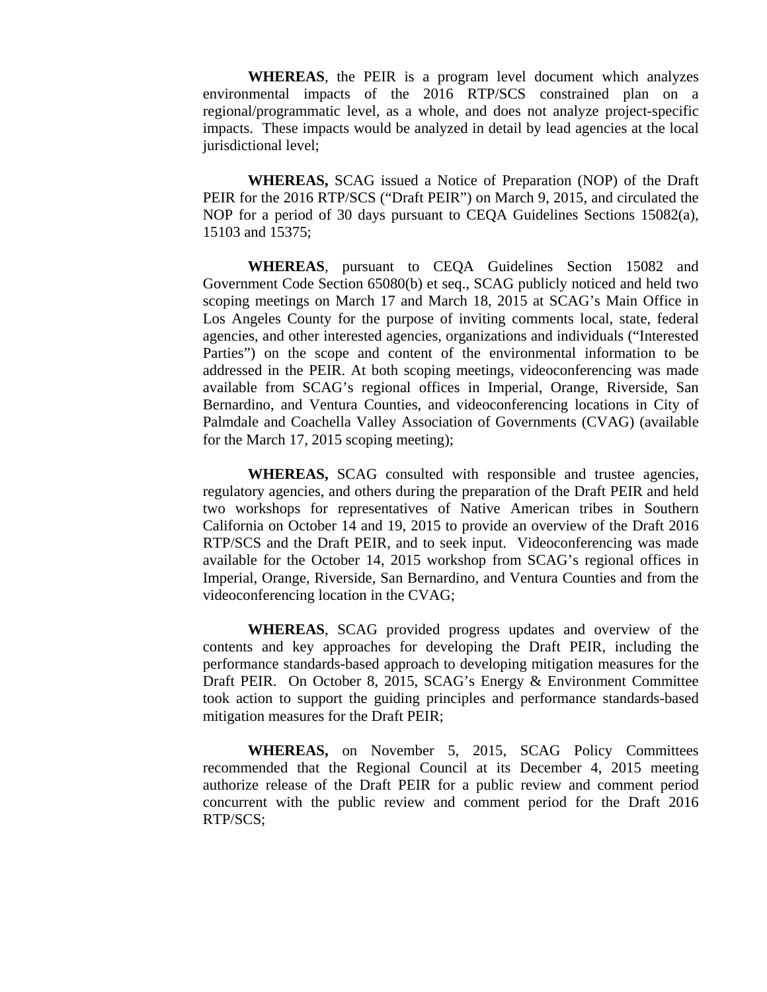**WHEREAS**, the PEIR is a program level document which analyzes environmental impacts of the 2016 RTP/SCS constrained plan on a regional/programmatic level, as a whole, and does not analyze project-specific impacts. These impacts would be analyzed in detail by lead agencies at the local jurisdictional level;

**WHEREAS,** SCAG issued a Notice of Preparation (NOP) of the Draft PEIR for the 2016 RTP/SCS ("Draft PEIR") on March 9, 2015, and circulated the NOP for a period of 30 days pursuant to CEQA Guidelines Sections 15082(a), 15103 and 15375;

**WHEREAS**, pursuant to CEQA Guidelines Section 15082 and Government Code Section 65080(b) et seq., SCAG publicly noticed and held two scoping meetings on March 17 and March 18, 2015 at SCAG's Main Office in Los Angeles County for the purpose of inviting comments local, state, federal agencies, and other interested agencies, organizations and individuals ("Interested Parties") on the scope and content of the environmental information to be addressed in the PEIR. At both scoping meetings, videoconferencing was made available from SCAG's regional offices in Imperial, Orange, Riverside, San Bernardino, and Ventura Counties, and videoconferencing locations in City of Palmdale and Coachella Valley Association of Governments (CVAG) (available for the March 17, 2015 scoping meeting);

**WHEREAS,** SCAG consulted with responsible and trustee agencies, regulatory agencies, and others during the preparation of the Draft PEIR and held two workshops for representatives of Native American tribes in Southern California on October 14 and 19, 2015 to provide an overview of the Draft 2016 RTP/SCS and the Draft PEIR, and to seek input. Videoconferencing was made available for the October 14, 2015 workshop from SCAG's regional offices in Imperial, Orange, Riverside, San Bernardino, and Ventura Counties and from the videoconferencing location in the CVAG;

**WHEREAS**, SCAG provided progress updates and overview of the contents and key approaches for developing the Draft PEIR, including the performance standards-based approach to developing mitigation measures for the Draft PEIR. On October 8, 2015, SCAG's Energy & Environment Committee took action to support the guiding principles and performance standards-based mitigation measures for the Draft PEIR;

**WHEREAS,** on November 5, 2015, SCAG Policy Committees recommended that the Regional Council at its December 4, 2015 meeting authorize release of the Draft PEIR for a public review and comment period concurrent with the public review and comment period for the Draft 2016 RTP/SCS;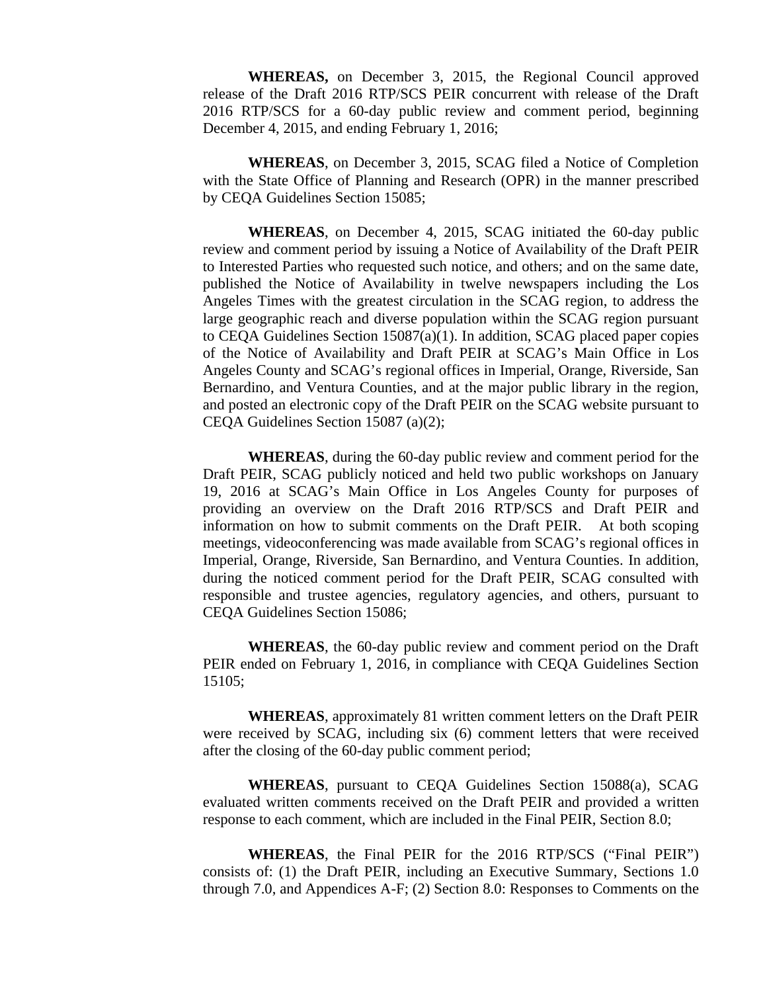**WHEREAS,** on December 3, 2015, the Regional Council approved release of the Draft 2016 RTP/SCS PEIR concurrent with release of the Draft 2016 RTP/SCS for a 60-day public review and comment period, beginning December 4, 2015, and ending February 1, 2016;

**WHEREAS**, on December 3, 2015, SCAG filed a Notice of Completion with the State Office of Planning and Research (OPR) in the manner prescribed by CEQA Guidelines Section 15085;

**WHEREAS**, on December 4, 2015, SCAG initiated the 60-day public review and comment period by issuing a Notice of Availability of the Draft PEIR to Interested Parties who requested such notice, and others; and on the same date, published the Notice of Availability in twelve newspapers including the Los Angeles Times with the greatest circulation in the SCAG region, to address the large geographic reach and diverse population within the SCAG region pursuant to CEQA Guidelines Section  $15087(a)(1)$ . In addition, SCAG placed paper copies of the Notice of Availability and Draft PEIR at SCAG's Main Office in Los Angeles County and SCAG's regional offices in Imperial, Orange, Riverside, San Bernardino, and Ventura Counties, and at the major public library in the region, and posted an electronic copy of the Draft PEIR on the SCAG website pursuant to CEQA Guidelines Section 15087 (a)(2);

**WHEREAS**, during the 60-day public review and comment period for the Draft PEIR, SCAG publicly noticed and held two public workshops on January 19, 2016 at SCAG's Main Office in Los Angeles County for purposes of providing an overview on the Draft 2016 RTP/SCS and Draft PEIR and information on how to submit comments on the Draft PEIR. At both scoping meetings, videoconferencing was made available from SCAG's regional offices in Imperial, Orange, Riverside, San Bernardino, and Ventura Counties. In addition, during the noticed comment period for the Draft PEIR, SCAG consulted with responsible and trustee agencies, regulatory agencies, and others, pursuant to CEQA Guidelines Section 15086;

**WHEREAS**, the 60-day public review and comment period on the Draft PEIR ended on February 1, 2016, in compliance with CEQA Guidelines Section 15105;

**WHEREAS**, approximately 81 written comment letters on the Draft PEIR were received by SCAG, including six (6) comment letters that were received after the closing of the 60-day public comment period;

**WHEREAS**, pursuant to CEQA Guidelines Section 15088(a), SCAG evaluated written comments received on the Draft PEIR and provided a written response to each comment, which are included in the Final PEIR, Section 8.0;

**WHEREAS**, the Final PEIR for the 2016 RTP/SCS ("Final PEIR") consists of: (1) the Draft PEIR, including an Executive Summary, Sections 1.0 through 7.0, and Appendices A-F; (2) Section 8.0: Responses to Comments on the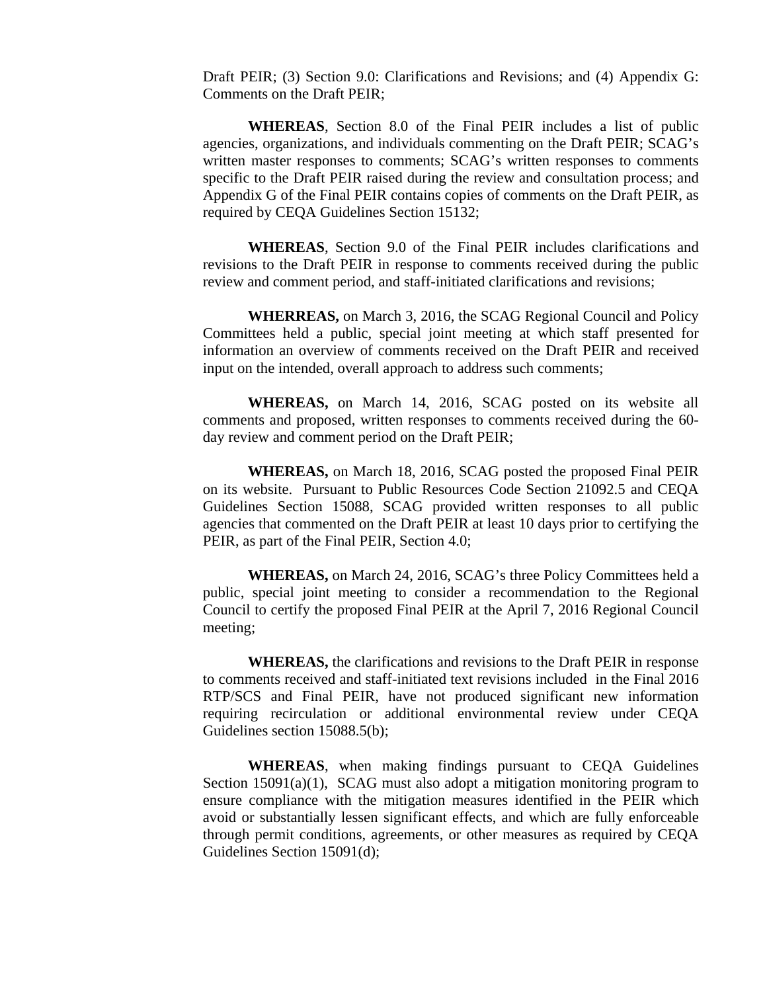Draft PEIR; (3) Section 9.0: Clarifications and Revisions; and (4) Appendix G: Comments on the Draft PEIR;

**WHEREAS**, Section 8.0 of the Final PEIR includes a list of public agencies, organizations, and individuals commenting on the Draft PEIR; SCAG's written master responses to comments; SCAG's written responses to comments specific to the Draft PEIR raised during the review and consultation process; and Appendix G of the Final PEIR contains copies of comments on the Draft PEIR, as required by CEQA Guidelines Section 15132;

**WHEREAS**, Section 9.0 of the Final PEIR includes clarifications and revisions to the Draft PEIR in response to comments received during the public review and comment period, and staff-initiated clarifications and revisions;

**WHERREAS,** on March 3, 2016, the SCAG Regional Council and Policy Committees held a public, special joint meeting at which staff presented for information an overview of comments received on the Draft PEIR and received input on the intended, overall approach to address such comments;

**WHEREAS,** on March 14, 2016, SCAG posted on its website all comments and proposed, written responses to comments received during the 60 day review and comment period on the Draft PEIR;

**WHEREAS,** on March 18, 2016, SCAG posted the proposed Final PEIR on its website. Pursuant to Public Resources Code Section 21092.5 and CEQA Guidelines Section 15088, SCAG provided written responses to all public agencies that commented on the Draft PEIR at least 10 days prior to certifying the PEIR, as part of the Final PEIR, Section 4.0;

**WHEREAS,** on March 24, 2016, SCAG's three Policy Committees held a public, special joint meeting to consider a recommendation to the Regional Council to certify the proposed Final PEIR at the April 7, 2016 Regional Council meeting;

**WHEREAS,** the clarifications and revisions to the Draft PEIR in response to comments received and staff-initiated text revisions included in the Final 2016 RTP/SCS and Final PEIR, have not produced significant new information requiring recirculation or additional environmental review under CEQA Guidelines section 15088.5(b);

**WHEREAS**, when making findings pursuant to CEQA Guidelines Section 15091(a)(1), SCAG must also adopt a mitigation monitoring program to ensure compliance with the mitigation measures identified in the PEIR which avoid or substantially lessen significant effects, and which are fully enforceable through permit conditions, agreements, or other measures as required by CEQA Guidelines Section 15091(d);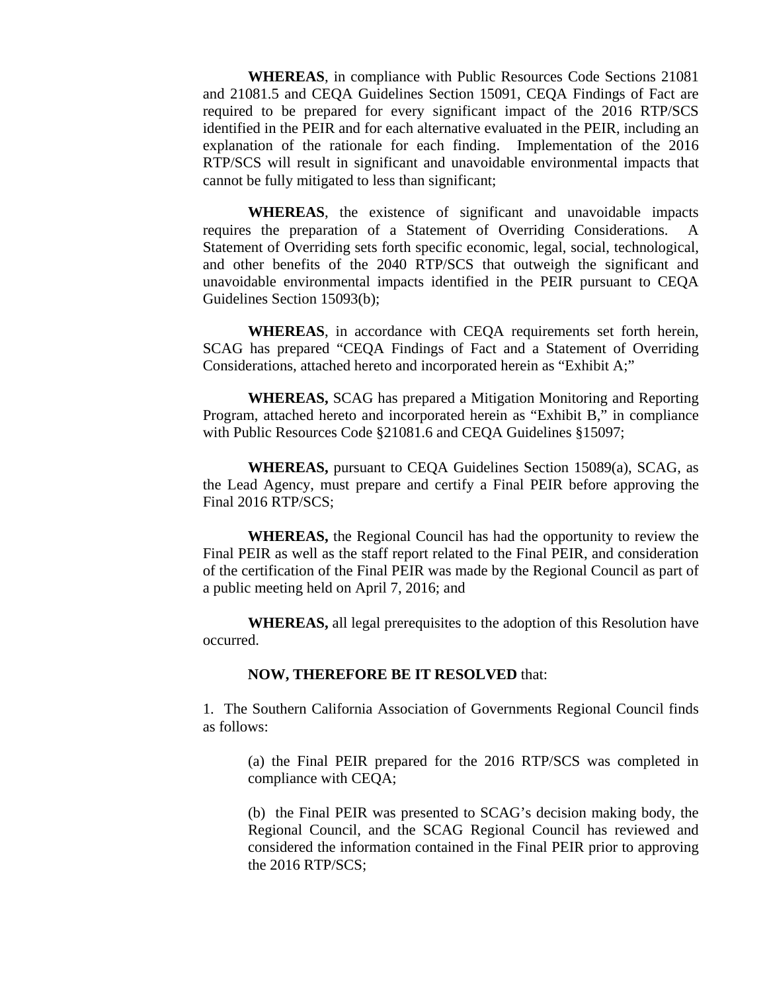**WHEREAS**, in compliance with Public Resources Code Sections 21081 and 21081.5 and CEQA Guidelines Section 15091, CEQA Findings of Fact are required to be prepared for every significant impact of the 2016 RTP/SCS identified in the PEIR and for each alternative evaluated in the PEIR, including an explanation of the rationale for each finding. Implementation of the 2016 RTP/SCS will result in significant and unavoidable environmental impacts that cannot be fully mitigated to less than significant;

**WHEREAS**, the existence of significant and unavoidable impacts requires the preparation of a Statement of Overriding Considerations. A Statement of Overriding sets forth specific economic, legal, social, technological, and other benefits of the 2040 RTP/SCS that outweigh the significant and unavoidable environmental impacts identified in the PEIR pursuant to CEQA Guidelines Section 15093(b);

**WHEREAS**, in accordance with CEQA requirements set forth herein, SCAG has prepared "CEQA Findings of Fact and a Statement of Overriding Considerations, attached hereto and incorporated herein as "Exhibit A;"

**WHEREAS,** SCAG has prepared a Mitigation Monitoring and Reporting Program, attached hereto and incorporated herein as "Exhibit B," in compliance with Public Resources Code §21081.6 and CEQA Guidelines §15097;

**WHEREAS,** pursuant to CEQA Guidelines Section 15089(a), SCAG, as the Lead Agency, must prepare and certify a Final PEIR before approving the Final 2016 RTP/SCS;

**WHEREAS,** the Regional Council has had the opportunity to review the Final PEIR as well as the staff report related to the Final PEIR, and consideration of the certification of the Final PEIR was made by the Regional Council as part of a public meeting held on April 7, 2016; and

**WHEREAS,** all legal prerequisites to the adoption of this Resolution have occurred.

### **NOW, THEREFORE BE IT RESOLVED** that:

1. The Southern California Association of Governments Regional Council finds as follows:

(a) the Final PEIR prepared for the 2016 RTP/SCS was completed in compliance with CEQA;

(b) the Final PEIR was presented to SCAG's decision making body, the Regional Council, and the SCAG Regional Council has reviewed and considered the information contained in the Final PEIR prior to approving the 2016 RTP/SCS;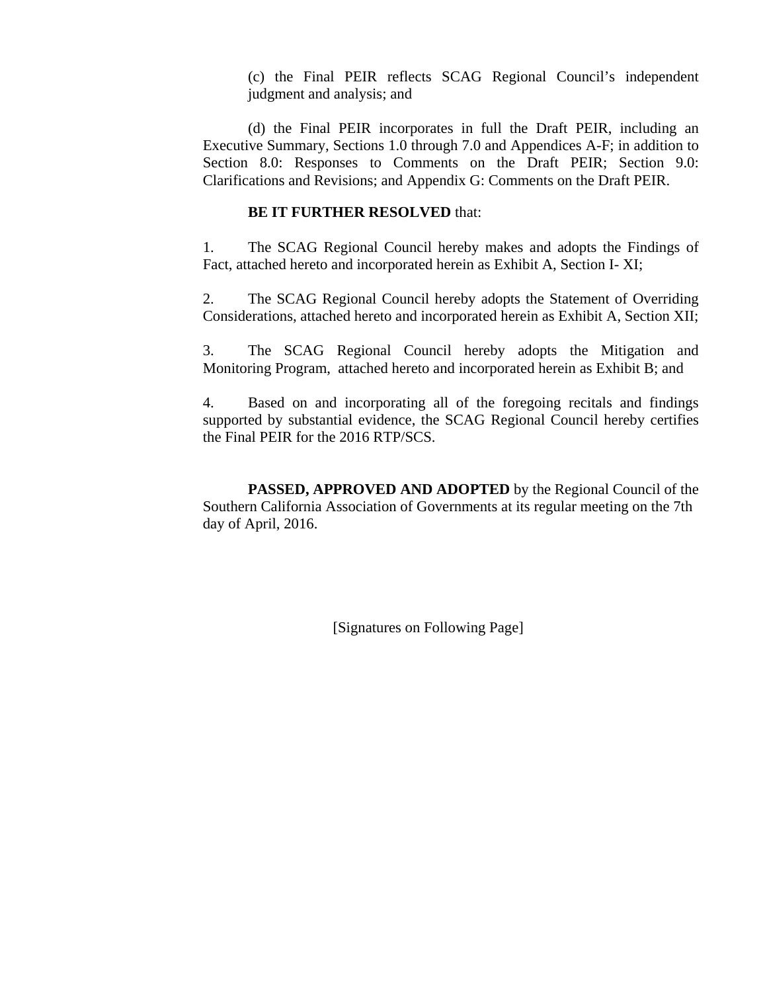(c) the Final PEIR reflects SCAG Regional Council's independent judgment and analysis; and

(d) the Final PEIR incorporates in full the Draft PEIR, including an Executive Summary, Sections 1.0 through 7.0 and Appendices A-F; in addition to Section 8.0: Responses to Comments on the Draft PEIR; Section 9.0: Clarifications and Revisions; and Appendix G: Comments on the Draft PEIR.

### **BE IT FURTHER RESOLVED** that:

1. The SCAG Regional Council hereby makes and adopts the Findings of Fact, attached hereto and incorporated herein as Exhibit A, Section I- XI;

2. The SCAG Regional Council hereby adopts the Statement of Overriding Considerations, attached hereto and incorporated herein as Exhibit A, Section XII;

3. The SCAG Regional Council hereby adopts the Mitigation and Monitoring Program, attached hereto and incorporated herein as Exhibit B; and

4. Based on and incorporating all of the foregoing recitals and findings supported by substantial evidence, the SCAG Regional Council hereby certifies the Final PEIR for the 2016 RTP/SCS.

**PASSED, APPROVED AND ADOPTED** by the Regional Council of the Southern California Association of Governments at its regular meeting on the 7th day of April, 2016.

[Signatures on Following Page]